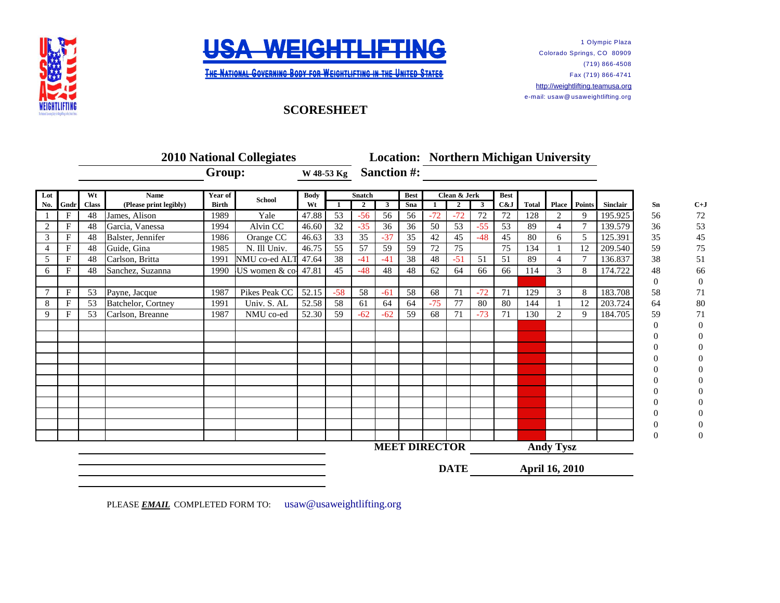



**THE NATIONAL GOVERNING BODY FOR WEIGHTLIFTING IN THE UNITED STATES** 

## 1 Olympic Plaza Colorado Springs, CO 80909 (719) 866-4508 Fax (719) 866-4741 [http://](http://weightlifting.teamusa.org/)weightlifting.teamusa.org e-mail: usaw@ usaweightlifting.org

## **SCORESHEET**

| <b>2010 National Collegiates</b> |              |              |                        |              |                |             |                 |                    |              |                      | <b>Location: Northern Michigan University</b> |          |             |                  |              |                |               |          |    |          |
|----------------------------------|--------------|--------------|------------------------|--------------|----------------|-------------|-----------------|--------------------|--------------|----------------------|-----------------------------------------------|----------|-------------|------------------|--------------|----------------|---------------|----------|----|----------|
|                                  |              |              |                        | Group:       |                | W 48-53 Kg  |                 | <b>Sanction #:</b> |              |                      |                                               |          |             |                  |              |                |               |          |    |          |
| Lot                              |              |              | <b>Name</b>            | Year of      | <b>School</b>  | <b>Body</b> |                 | <b>Snatch</b>      |              | <b>Best</b>          | Clean & Jerk                                  |          | <b>Best</b> |                  |              |                |               |          |    |          |
| No.                              | Gndr         | <b>Class</b> | (Please print legibly) | <b>Birth</b> |                | Wt          |                 | $\overline{2}$     | $\mathbf{3}$ | Sna                  |                                               | $\gamma$ | 3           | C&J              | <b>Total</b> | <b>Place</b>   | <b>Points</b> | Sinclair | Sn | $C+J$    |
|                                  | F            | 48           | James, Alison          | 1989         | Yale           | 47.88       | 53              | $-56$              | 56           | 56                   | $-72$                                         | $-72$    | 72          | 72               | 128          | 2              | 9             | 195.925  | 56 | 72       |
| 2                                | $\mathbf{F}$ | 48           | Garcia, Vanessa        | 1994         | Alvin CC       | 46.60       | 32              | $-35$              | 36           | 36                   | 50                                            | 53       | $-55$       | 53               | 89           | $\overline{4}$ |               | 139.579  | 36 | 53       |
| 3                                | $\mathbf F$  | 48           | Balster, Jennifer      | 1986         | Orange CC      | 46.63       | $\overline{33}$ | 35                 | $-37$        | 35                   | 42                                            | 45       | $-48$       | 45               | 80           | 6              | 5             | 125.391  | 35 | 45       |
| 4                                | $\mathbf F$  | 48           | Guide, Gina            | 1985         | N. Ill Univ.   | 46.75       | 55              | 57                 | 59           | 59                   | 72                                            | 75       |             | 75               | 134          |                | 12            | 209.540  | 59 | 75       |
| 5                                | $\mathbf F$  | 48           | Carlson, Britta        | 1991         | NMU co-ed ALT  | 47.64       | 38              | $-41$              | $-41$        | 38                   | 48                                            | $-51$    | 51          | 51               | 89           | $\overline{4}$ | $\tau$        | 136.837  | 38 | 51       |
| 6                                | F            | 48           | Sanchez, Suzanna       | 1990         | US women & co- | 47.81       | 45              | $-48$              | 48           | 48                   | 62                                            | 64       | 66          | 66               | 114          | 3              | 8             | 174.722  | 48 | 66       |
|                                  |              |              |                        |              |                |             |                 |                    |              |                      |                                               |          |             |                  |              |                |               |          | 0  | $\theta$ |
| $\tau$                           | $\mathbf F$  | 53           | Payne, Jacque          | 1987         | Pikes Peak CC  | 52.15       | $-58$           | 58                 | $-61$        | 58                   | 68                                            | 71       | $-72$       | 71               | 129          | 3              | 8             | 183.708  | 58 | 71       |
| 8                                | $\mathbf F$  | 53           | Batchelor, Cortney     | 1991         | Univ. S. AL    | 52.58       | 58              | 61                 | 64           | 64                   | $-75$                                         | 77       | 80          | 80               | 144          |                | 12            | 203.724  | 64 | 80       |
| 9                                | F            | 53           | Carlson, Breanne       | 1987         | NMU co-ed      | 52.30       | 59              | $-62$              | $-62$        | 59                   | 68                                            | 71       | $-73$       | 71               | 130          | 2              | 9             | 184.705  | 59 | 71       |
|                                  |              |              |                        |              |                |             |                 |                    |              |                      |                                               |          |             |                  |              |                |               |          | 0  | $\Omega$ |
|                                  |              |              |                        |              |                |             |                 |                    |              |                      |                                               |          |             |                  |              |                |               |          |    |          |
|                                  |              |              |                        |              |                |             |                 |                    |              |                      |                                               |          |             |                  |              |                |               |          |    |          |
|                                  |              |              |                        |              |                |             |                 |                    |              |                      |                                               |          |             |                  |              |                |               |          |    |          |
|                                  |              |              |                        |              |                |             |                 |                    |              |                      |                                               |          |             |                  |              |                |               |          |    |          |
|                                  |              |              |                        |              |                |             |                 |                    |              |                      |                                               |          |             |                  |              |                |               |          |    |          |
|                                  |              |              |                        |              |                |             |                 |                    |              |                      |                                               |          |             |                  |              |                |               |          |    |          |
|                                  |              |              |                        |              |                |             |                 |                    |              |                      |                                               |          |             |                  |              |                |               |          |    |          |
|                                  |              |              |                        |              |                |             |                 |                    |              |                      |                                               |          |             |                  |              |                |               |          |    |          |
|                                  |              |              |                        |              |                |             |                 |                    |              |                      |                                               |          |             |                  |              |                |               |          |    |          |
|                                  |              |              |                        |              |                |             |                 |                    |              |                      |                                               |          |             |                  |              |                |               |          | 0  | 0        |
|                                  |              |              |                        |              |                |             |                 |                    |              | <b>MEET DIRECTOR</b> |                                               |          |             | <b>Andy Tysz</b> |              |                |               |          |    |          |
|                                  |              |              |                        |              |                |             |                 |                    |              |                      | <b>DATE</b>                                   |          |             | April 16, 2010   |              |                |               |          |    |          |

PLEASE **EMAIL** COMPLETED FORM TO: usaw@usaweightlifting.org